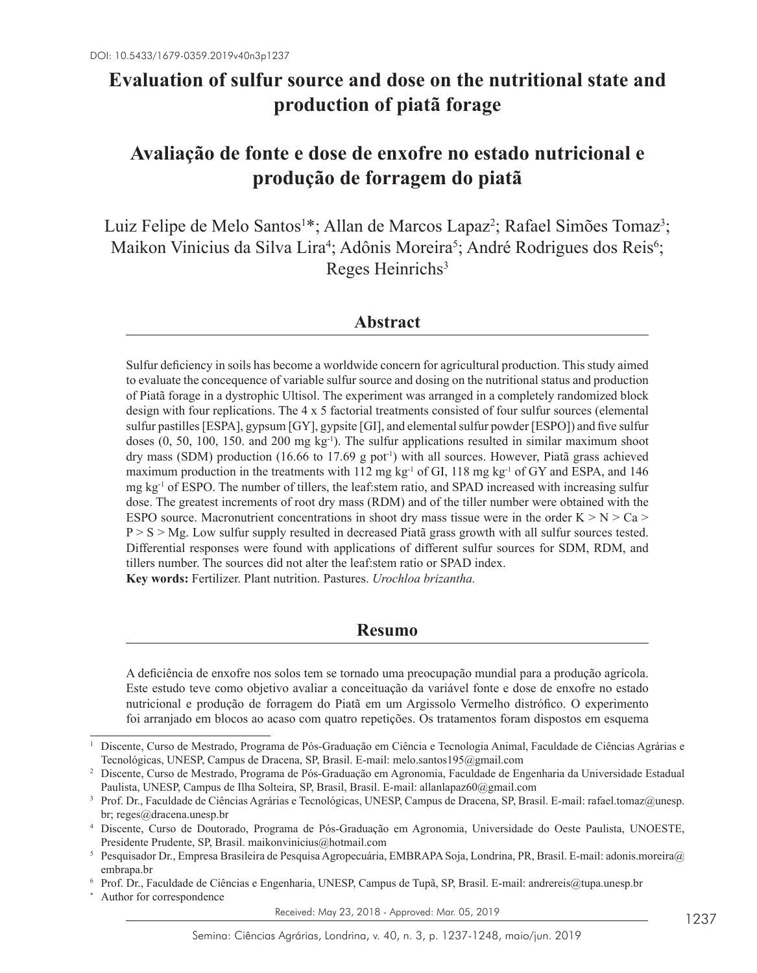# **Evaluation of sulfur source and dose on the nutritional state and production of piatã forage**

# **Avaliação de fonte e dose de enxofre no estado nutricional e produção de forragem do piatã**

Luiz Felipe de Melo Santos<sup>1\*</sup>; Allan de Marcos Lapaz<sup>2</sup>; Rafael Simões Tomaz<sup>3</sup>; Maikon Vinicius da Silva Lira<sup>4</sup>; Adônis Moreira<sup>5</sup>; André Rodrigues dos Reis<sup>6</sup>; Reges Heinrichs<sup>3</sup>

# **Abstract**

Sulfur deficiency in soils has become a worldwide concern for agricultural production. This study aimed to evaluate the concequence of variable sulfur source and dosing on the nutritional status and production of Piatã forage in a dystrophic Ultisol. The experiment was arranged in a completely randomized block design with four replications. The 4 x 5 factorial treatments consisted of four sulfur sources (elemental sulfur pastilles [ESPA], gypsum [GY], gypsite [GI], and elemental sulfur powder [ESPO]) and five sulfur doses (0, 50, 100, 150. and 200 mg kg<sup>-1</sup>). The sulfur applications resulted in similar maximum shoot dry mass (SDM) production (16.66 to 17.69 g pot<sup>-1</sup>) with all sources. However, Piatã grass achieved maximum production in the treatments with 112 mg kg<sup>-1</sup> of GI, 118 mg kg<sup>-1</sup> of GY and ESPA, and 146 mg kg-1 of ESPO. The number of tillers, the leaf:stem ratio, and SPAD increased with increasing sulfur dose. The greatest increments of root dry mass (RDM) and of the tiller number were obtained with the ESPO source. Macronutrient concentrations in shoot dry mass tissue were in the order  $K > N > Ca$  $P > S > Mg$ . Low sulfur supply resulted in decreased Piatã grass growth with all sulfur sources tested. Differential responses were found with applications of different sulfur sources for SDM, RDM, and tillers number. The sources did not alter the leaf:stem ratio or SPAD index. **Key words:** Fertilizer. Plant nutrition. Pastures. *Urochloa brizantha.*

# **Resumo**

A deficiência de enxofre nos solos tem se tornado uma preocupação mundial para a produção agrícola. Este estudo teve como objetivo avaliar a conceituação da variável fonte e dose de enxofre no estado nutricional e produção de forragem do Piatã em um Argissolo Vermelho distrófico. O experimento foi arranjado em blocos ao acaso com quatro repetições. Os tratamentos foram dispostos em esquema

Received: May 23, 2018 - Approved: Mar. 05, 2019

<sup>1</sup> Discente, Curso de Mestrado, Programa de Pós-Graduação em Ciência e Tecnologia Animal, Faculdade de Ciências Agrárias e Tecnológicas, UNESP, Campus de Dracena, SP, Brasil. E-mail: melo.santos195@gmail.com

<sup>2</sup> Discente, Curso de Mestrado, Programa de Pós-Graduação em Agronomia, Faculdade de Engenharia da Universidade Estadual Paulista, UNESP, Campus de Ilha Solteira, SP, Brasil, Brasil. E-mail: allanlapaz60@gmail.com

<sup>&</sup>lt;sup>3</sup> Prof. Dr., Faculdade de Ciências Agrárias e Tecnológicas, UNESP, Campus de Dracena, SP, Brasil. E-mail: rafael.tomaz@unesp. br; reges@dracena.unesp.br 4 Discente, Curso de Doutorado, Programa de Pós-Graduação em Agronomia, Universidade do Oeste Paulista, UNOESTE,

Presidente Prudente, SP, Brasil. maikonvinicius@hotmail.com

<sup>5</sup> Pesquisador Dr., Empresa Brasileira de Pesquisa Agropecuária, EMBRAPA Soja, Londrina, PR, Brasil. E-mail: adonis.moreira@ embrapa.br 6 Prof. Dr., Faculdade de Ciências e Engenharia, UNESP, Campus de Tupã, SP, Brasil. E-mail: andrereis@tupa.unesp.br

Author for correspondence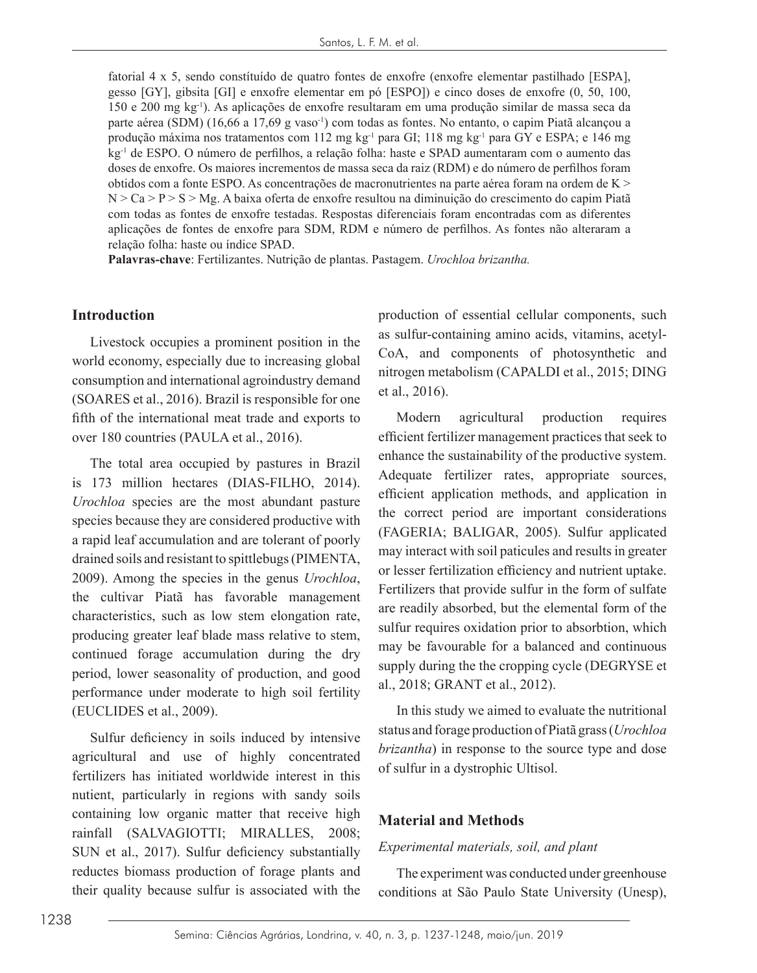fatorial 4 x 5, sendo constítuído de quatro fontes de enxofre (enxofre elementar pastilhado [ESPA], gesso [GY], gibsita [GI] e enxofre elementar em pó [ESPO]) e cinco doses de enxofre (0, 50, 100, 150 e 200 mg kg-1). As aplicações de enxofre resultaram em uma produção similar de massa seca da parte aérea (SDM) (16,66 a 17,69 g vaso<sup>1</sup>) com todas as fontes. No entanto, o capim Piatã alcançou a produção máxima nos tratamentos com 112 mg kg-1 para GI; 118 mg kg-1 para GY e ESPA; e 146 mg kg-1 de ESPO. O número de perfilhos, a relação folha: haste e SPAD aumentaram com o aumento das doses de enxofre. Os maiores incrementos de massa seca da raiz (RDM) e do número de perfilhos foram obtidos com a fonte ESPO. As concentrações de macronutrientes na parte aérea foram na ordem de K >  $N > Ca > P > S > Mg$ . A baixa oferta de enxofre resultou na diminuição do crescimento do capim Piatã com todas as fontes de enxofre testadas. Respostas diferenciais foram encontradas com as diferentes aplicações de fontes de enxofre para SDM, RDM e número de perfilhos. As fontes não alteraram a relação folha: haste ou índice SPAD.

**Palavras-chave**: Fertilizantes. Nutrição de plantas. Pastagem. *Urochloa brizantha.*

#### **Introduction**

Livestock occupies a prominent position in the world economy, especially due to increasing global consumption and international agroindustry demand (SOARES et al., 2016). Brazil is responsible for one fifth of the international meat trade and exports to over 180 countries (PAULA et al., 2016).

The total area occupied by pastures in Brazil is 173 million hectares (DIAS-FILHO, 2014). *Urochloa* species are the most abundant pasture species because they are considered productive with a rapid leaf accumulation and are tolerant of poorly drained soils and resistant to spittlebugs (PIMENTA, 2009). Among the species in the genus *Urochloa*, the cultivar Piatã has favorable management characteristics, such as low stem elongation rate, producing greater leaf blade mass relative to stem, continued forage accumulation during the dry period, lower seasonality of production, and good performance under moderate to high soil fertility (EUCLIDES et al., 2009).

Sulfur deficiency in soils induced by intensive agricultural and use of highly concentrated fertilizers has initiated worldwide interest in this nutient, particularly in regions with sandy soils containing low organic matter that receive high rainfall (SALVAGIOTTI; MIRALLES, 2008; SUN et al., 2017). Sulfur deficiency substantially reductes biomass production of forage plants and their quality because sulfur is associated with the

production of essential cellular components, such as sulfur-containing amino acids, vitamins, acetyl-CoA, and components of photosynthetic and nitrogen metabolism (CAPALDI et al., 2015; DING et al., 2016).

Modern agricultural production requires efficient fertilizer management practices that seek to enhance the sustainability of the productive system. Adequate fertilizer rates, appropriate sources, efficient application methods, and application in the correct period are important considerations (FAGERIA; BALIGAR, 2005). Sulfur applicated may interact with soil paticules and results in greater or lesser fertilization efficiency and nutrient uptake. Fertilizers that provide sulfur in the form of sulfate are readily absorbed, but the elemental form of the sulfur requires oxidation prior to absorbtion, which may be favourable for a balanced and continuous supply during the the cropping cycle (DEGRYSE et al., 2018; GRANT et al., 2012).

In this study we aimed to evaluate the nutritional status and forage production of Piatã grass (*Urochloa brizantha*) in response to the source type and dose of sulfur in a dystrophic Ultisol.

#### **Material and Methods**

#### *Experimental materials, soil, and plant*

The experiment was conducted under greenhouse conditions at São Paulo State University (Unesp),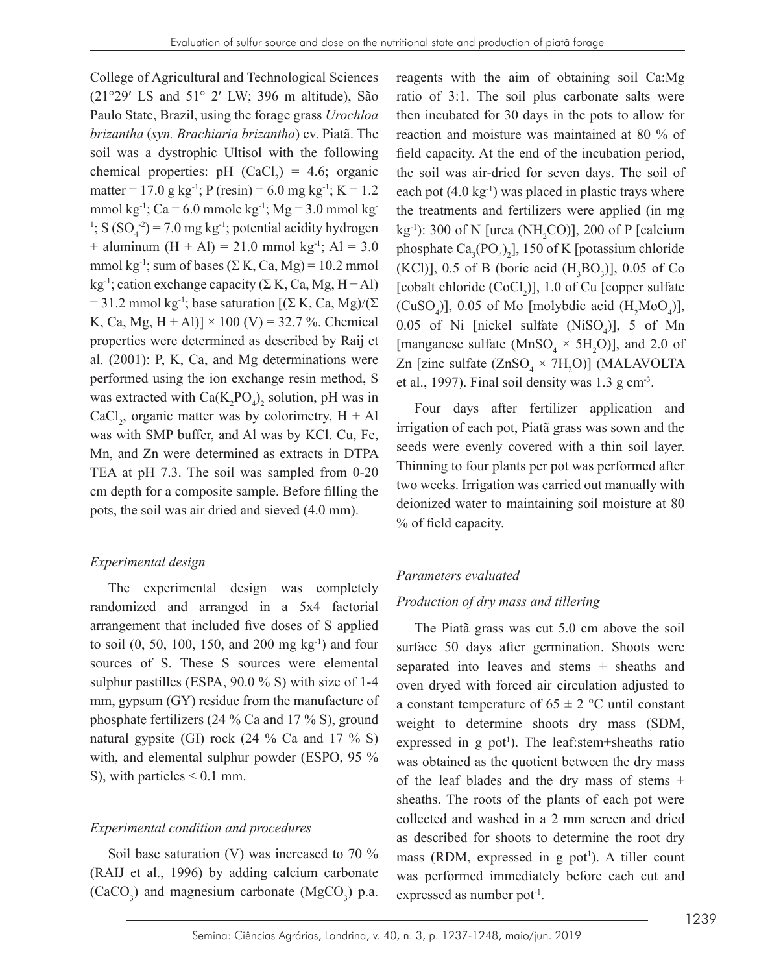College of Agricultural and Technological Sciences (21°29ʹ LS and 51° 2ʹ LW; 396 m altitude), São Paulo State, Brazil, using the forage grass *Urochloa brizantha* (*syn. Brachiaria brizantha*) cv. Piatã. The soil was a dystrophic Ultisol with the following chemical properties: pH  $(CaCl<sub>2</sub>) = 4.6$ ; organic matter = 17.0 g kg<sup>-1</sup>; P (resin) = 6.0 mg kg<sup>-1</sup>; K = 1.2 mmol kg<sup>-1</sup>; Ca = 6.0 mmolc kg<sup>-1</sup>; Mg = 3.0 mmol kg<sup>-1</sup> <sup>1</sup>; S  $(SO<sub>4</sub><sup>-2</sup>)$  = 7.0 mg kg<sup>-1</sup>; potential acidity hydrogen + aluminum  $(H + Al) = 21.0$  mmol kg<sup>-1</sup>; Al = 3.0 mmol kg<sup>-1</sup>; sum of bases (Σ K, Ca, Mg) = 10.2 mmol kg<sup>-1</sup>; cation exchange capacity (Σ K, Ca, Mg, H + Al) = 31.2 mmol kg<sup>-1</sup>; base saturation  $[(\Sigma K, Ca, Mg)/(\Sigma)$ K, Ca, Mg, H + Al)]  $\times$  100 (V) = 32.7 %. Chemical properties were determined as described by Raij et al. (2001): P, K, Ca, and Mg determinations were performed using the ion exchange resin method, S was extracted with  $Ca(K_2PO_4)$ <sub>2</sub> solution, pH was in CaCl<sub>2</sub>, organic matter was by colorimetry,  $H + Al$ was with SMP buffer, and Al was by KCl. Cu, Fe, Mn, and Zn were determined as extracts in DTPA TEA at pH 7.3. The soil was sampled from 0-20 cm depth for a composite sample. Before filling the pots, the soil was air dried and sieved (4.0 mm).

#### *Experimental design*

The experimental design was completely randomized and arranged in a 5x4 factorial arrangement that included five doses of S applied to soil  $(0, 50, 100, 150, \text{ and } 200 \text{ mg kg}^{-1})$  and four sources of S. These S sources were elemental sulphur pastilles (ESPA, 90.0 % S) with size of 1-4 mm, gypsum (GY) residue from the manufacture of phosphate fertilizers (24 % Ca and 17 % S), ground natural gypsite (GI) rock (24 % Ca and 17 % S) with, and elemental sulphur powder (ESPO, 95 % S), with particles  $\leq 0.1$  mm.

#### *Experimental condition and procedures*

Soil base saturation (V) was increased to 70 % (RAIJ et al., 1996) by adding calcium carbonate  $(CaCO<sub>3</sub>)$  and magnesium carbonate  $(MgCO<sub>3</sub>)$  p.a. reagents with the aim of obtaining soil Ca:Mg ratio of 3:1. The soil plus carbonate salts were then incubated for 30 days in the pots to allow for reaction and moisture was maintained at 80 % of field capacity. At the end of the incubation period, the soil was air-dried for seven days. The soil of each pot  $(4.0 \text{ kg}^{-1})$  was placed in plastic trays where the treatments and fertilizers were applied (in mg  $kg^{-1}$ ): 300 of N [urea (NH<sub>2</sub>CO)], 200 of P [calcium phosphate  $Ca_3(PO_4)_2$ , 150 of K [potassium chloride (KCl)], 0.5 of B (boric acid  $(H_3BO_3)$ ], 0.05 of Co [cobalt chloride  $(CoCl<sub>2</sub>)$ ], 1.0 of Cu [copper sulfate]  $(CuSO<sub>4</sub>)$ ], 0.05 of Mo [molybdic acid  $(H<sub>2</sub>MoO<sub>4</sub>)$ ], 0.05 of Ni [nickel sulfate  $(NiSO_4)$ ], 5 of Mn [manganese sulfate ( $MnSO<sub>4</sub> \times 5H<sub>2</sub>O$ )], and 2.0 of Zn [zinc sulfate  $(ZnSO_4 \times 7H_2O)$ ] (MALAVOLTA et al., 1997). Final soil density was 1.3 g cm-3.

Four days after fertilizer application and irrigation of each pot, Piatã grass was sown and the seeds were evenly covered with a thin soil layer. Thinning to four plants per pot was performed after two weeks. Irrigation was carried out manually with deionized water to maintaining soil moisture at 80 % of field capacity.

## *Parameters evaluated*

#### *Production of dry mass and tillering*

The Piatã grass was cut 5.0 cm above the soil surface 50 days after germination. Shoots were separated into leaves and stems + sheaths and oven dryed with forced air circulation adjusted to a constant temperature of  $65 \pm 2$  °C until constant weight to determine shoots dry mass (SDM, expressed in  $g$  pot<sup>1</sup>). The leaf: stem+sheaths ratio was obtained as the quotient between the dry mass of the leaf blades and the dry mass of stems + sheaths. The roots of the plants of each pot were collected and washed in a 2 mm screen and dried as described for shoots to determine the root dry mass (RDM, expressed in  $g$  pot<sup>1</sup>). A tiller count was performed immediately before each cut and expressed as number pot<sup>-1</sup>.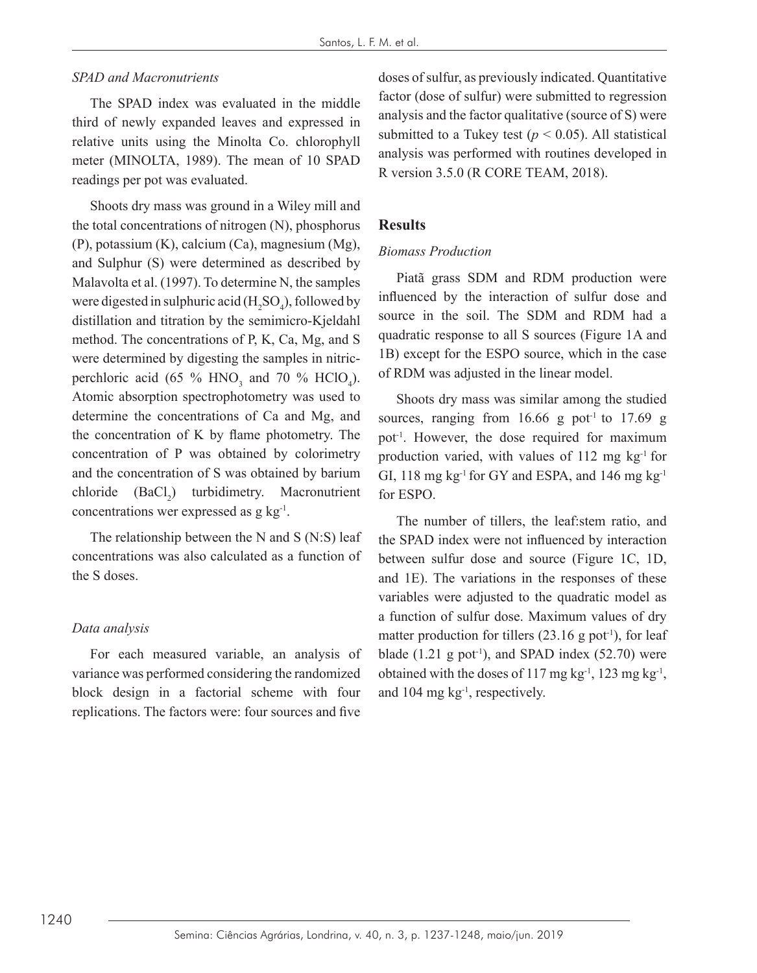### *SPAD and Macronutrients*

The SPAD index was evaluated in the middle third of newly expanded leaves and expressed in relative units using the Minolta Co. chlorophyll meter (MINOLTA, 1989). The mean of 10 SPAD readings per pot was evaluated.

Shoots dry mass was ground in a Wiley mill and the total concentrations of nitrogen (N), phosphorus (P), potassium (K), calcium (Ca), magnesium (Mg), and Sulphur (S) were determined as described by Malavolta et al. (1997). To determine N, the samples were digested in sulphuric acid  $(H_2SO_4)$ , followed by distillation and titration by the semimicro-Kjeldahl method. The concentrations of P, K, Ca, Mg, and S were determined by digesting the samples in nitricperchloric acid (65 %  $HNO<sub>3</sub>$  and 70 %  $HClO<sub>4</sub>$ ). Atomic absorption spectrophotometry was used to determine the concentrations of Ca and Mg, and the concentration of K by flame photometry. The concentration of P was obtained by colorimetry and the concentration of S was obtained by barium chloride  $(BaCl<sub>2</sub>)$  turbidimetry. Macronutrient concentrations wer expressed as g kg-1.

The relationship between the N and S (N:S) leaf concentrations was also calculated as a function of the S doses.

## *Data analysis*

For each measured variable, an analysis of variance was performed considering the randomized block design in a factorial scheme with four replications. The factors were: four sources and five

doses of sulfur, as previously indicated. Quantitative factor (dose of sulfur) were submitted to regression analysis and the factor qualitative (source of S) were submitted to a Tukey test ( $p < 0.05$ ). All statistical analysis was performed with routines developed in R version 3.5.0 (R CORE TEAM, 2018).

## **Results**

### *Biomass Production*

Piatã grass SDM and RDM production were influenced by the interaction of sulfur dose and source in the soil. The SDM and RDM had a quadratic response to all S sources (Figure 1A and 1B) except for the ESPO source, which in the case of RDM was adjusted in the linear model.

Shoots dry mass was similar among the studied sources, ranging from  $16.66$  g pot<sup>-1</sup> to 17.69 g pot-1. However, the dose required for maximum production varied, with values of 112 mg kg-1 for GI, 118 mg kg<sup>-1</sup> for GY and ESPA, and 146 mg kg<sup>-1</sup> for ESPO.

The number of tillers, the leaf:stem ratio, and the SPAD index were not influenced by interaction between sulfur dose and source (Figure 1C, 1D, and 1E). The variations in the responses of these variables were adjusted to the quadratic model as a function of sulfur dose. Maximum values of dry matter production for tillers  $(23.16 \text{ g pot}^{-1})$ , for leaf blade  $(1.21 \text{ g pot}^{-1})$ , and SPAD index  $(52.70)$  were obtained with the doses of 117 mg kg<sup>-1</sup>, 123 mg kg<sup>-1</sup>, and 104 mg kg-1, respectively.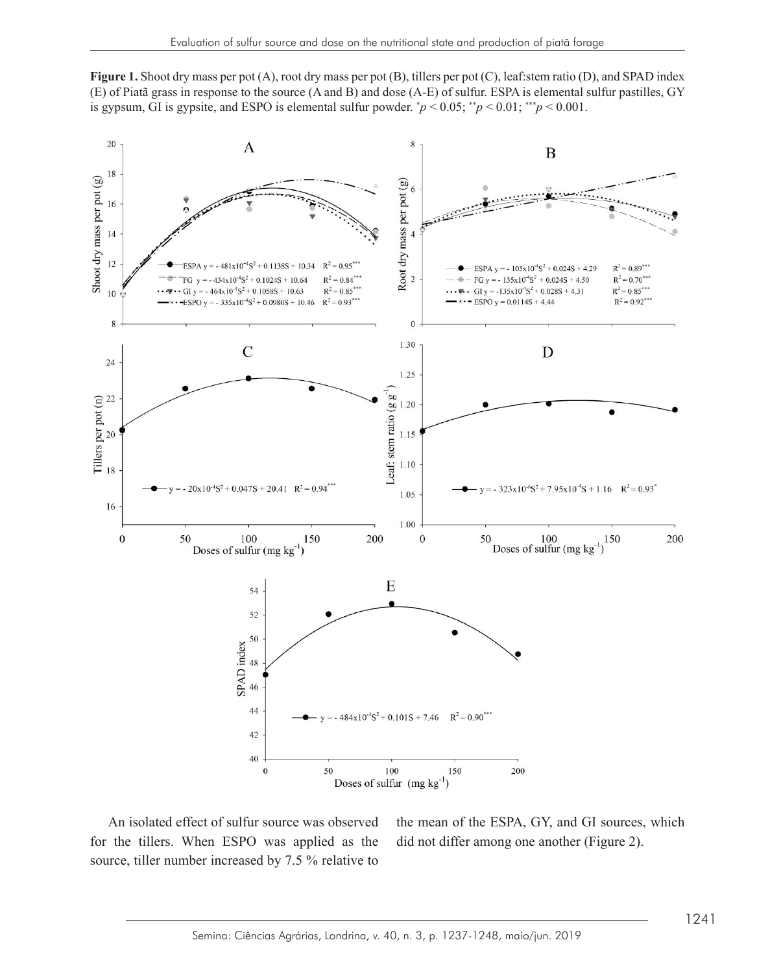**Figure 1.** Shoot dry mass per pot (A), root dry mass per pot (B), tillers per pot (C), leaf:stem ratio (D), and SPAD index (E) of Piatã grass in response to the source (A and B) and dose (A-E) of sulfur. ESPA is elemental sulfur pastilles, GY is gypsum, GI is gypsite, and ESPO is elemental sulfur powder.  $\dot{p} < 0.05$ ;  $\dot{p} < 0.01$ ;  $\dot{p} > 0.001$ .  $\mathbf{F}$ Figure 1. Shoot dry mass per pot (A), root dry mass per pot (B), tillers per pot (C), leaf stem ratio (D), and SPAD index.



source, the means that  $\frac{1}{2}$  is  $\frac{1}{2}$ ,  $\frac{7}{2}$ ,  $\frac{6}{4}$ , and  $\frac{1}{2}$  sources, when  $\frac{1}{2}$ ,  $\frac{1}{2}$ ,  $\frac{7}{2}$ ,  $\frac{6}{4}$ ,  $\frac{1}{4}$ ,  $\frac{1}{2}$ ,  $\frac{7}{2}$ ,  $\frac{6}{4}$ ,  $\frac{1}{4}$ ,  $\frac{1}{4}$ ,  $\frac{1}{2}$ ,  $\frac$ An isolated effect of sulfur source was observed for the tillers. When ESPO was applied as the source, tiller number increased by 7.5 % relative to

olated effect of sulfur source was observed the mean of the ESPA, GY, and GI sources, which did not differ among one another (Figure 2).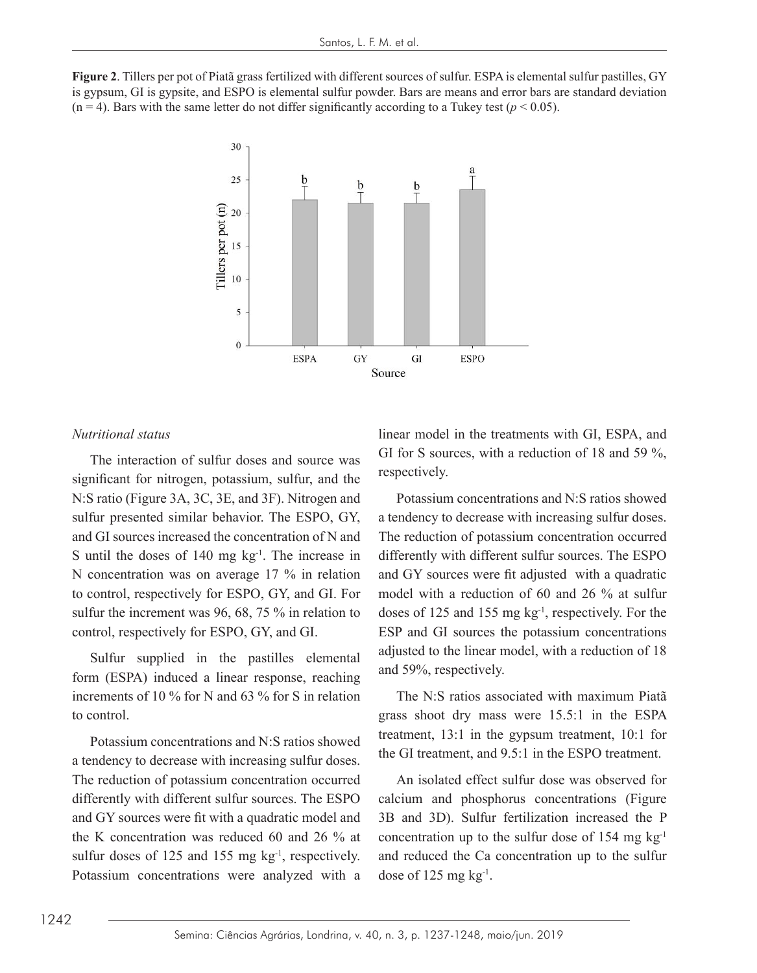Figure 2. Tillers per pot of Piatã grass fertilized with different sources of sulfur. ESPA is elemental sulfur pastilles, GY is gypsum, GI is gypsite, and ESPO is elemental sulfur powder. Bars are means and error bars are standard deviation  $(n = 4)$ . Bars with the same letter do not differ significantly according to a Tukey test  $(p < 0.05)$ .



#### *Nutritional status*

significant for nitrogen, potassium, sulfur, and the **ELESPOCITY**CITY. N:S ratio (Figure 3A, 3C, 3E, and 3F). Nitrogen and Potassium concentrations and N:S and GI sources increased the concentration of N and The reduction of potassium concentration occurred S until the doses of 140 mg  $kg<sup>-1</sup>$ . The increase in differently with different sulfur sourch,  $\frac{1}{2}$ sulfur the increment was 96, 68, 75 % in relation to doses of The interaction of sulfur doses and source was sulfur presented similar behavior. The ESPO, GY, N concentration was on average 17 % in relation to control, respectively for ESPO, GY, and GI. For control, respectively for ESPO, GY, and GI.

form (ESPA) induced a linear response, reaching and 59%, respectively. increments of 10 % for N and 63 % for S in relation The N:S ratios associated with maximum Piatã to control. Sulfur supplied in the pastilles elemental

Potassium concentrations and N.S ratios showed<br>a tendency to decrease with increasing sulfur doses the GI treatment, and 9.5:1 in the ESPO treatment. eduction of potassium concentration occurred An isolated effect sulfur dose was observed for differently with different sulfur sources. The ESPO calcium and phosphorus concentrations (Figure the K concentration was reduced 60 and 26 % at concentration up to the sulfur dose of 154 mg  $kg^{-1}$ sulfur doses of 125 and 155 mg kg<sup>-1</sup>, respectively. Potassium concentrations were analyzed with a dose of 125 mg  $kg<sup>-1</sup>$ . Potassium concentrations and N:S ratios showed a tendency to decrease with increasing sulfur doses. The reduction of potassium concentration occurred differently with different sulfur sources. The ESPO and GY sources were fit with a quadratic model and

interaction of sulfur doses and source was  $\sigma$  GI for S sources, with a reduction of 18 and 59 %, linear model in the treatments with GI, ESPA, and respectively.

 $\frac{10}{10}$  in  $\frac{1}{10}$ ntrol, respectively for ESPO, GY, and GI. For model with a reduction of 60 and 26 % at sulfur  $\frac{1}{2}$  ratios solutions and  $\frac{1}{2}$  and  $\frac{1}{2}$  and  $\frac{1}{2}$  solutions above with a reduction of 18 Potassium concentrations and N:S ratios showed a tendency to decrease with increasing sulfur doses. The reduction of potassium concentration occurred differently with different sulfur sources. The ESPO and GY sources were fit adjusted with a quadratic doses of 125 and 155 mg kg-1, respectively. For the ESP and GI sources the potassium concentrations and 59%, respectively.

> grass shoot dry mass were 15.5:1 in the ESPA The N:S ratios associated with maximum Piatã treatment, 13:1 in the gypsum treatment, 10:1 for

ng kg<sup>-1</sup>, respectively. and reduced the Ca concentration up to the sulfur 3B and 3D). Sulfur fertilization increased the P concentration up to the sulfur dose of 154 mg  $kg^{-1}$ dose of 125 mg  $kg^{-1}$ .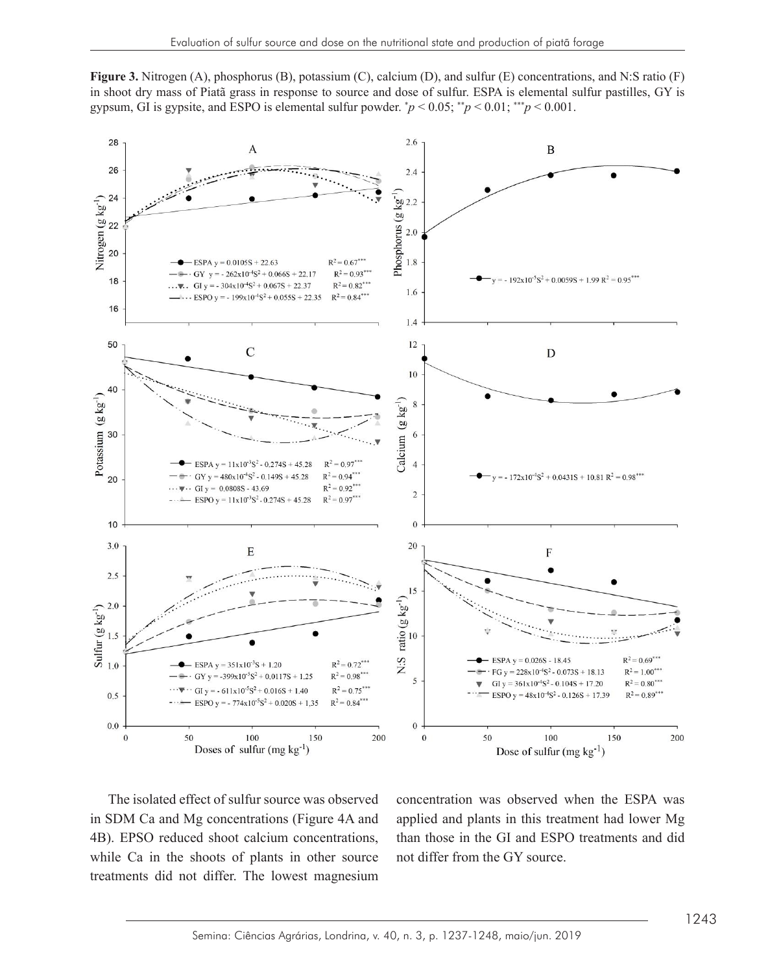Figure 3. Nitrogen (A), phosphorus (B), potassium (C), calcium (D), and sulfur (E) concentrations, and N:S ratio (F) in shoot dry mass of Piatã grass in response to source and dose of sulfur. ESPA is elemental sulfur pastilles, GY is gypsum, GI is gypsite, and ESPO is elemental sulfur powder.  $\dot{p}$  < 0.05;  $\dot{p}$  < 0.01;  $\dot{p}$  < 0.001.



The isolated effect of sulfur source was observed in SDM Ca and Mg concentrations (Figure 4A and 4B). EPSO reduced shoot calcium concentrations, while Ca in the shoots of plants in other source treatments did not differ. The lowest magnesium

olated effect of sulfur source was observed concentration was observed when the ESPA was in SDM Ca and Mg concentrations (Figure 4A and applied and plants in this treatment had lower Mg 4B). EPSO reduced shoot calcium concentrations, than those in the GI and ESPO treatments and did not differ from the GY source.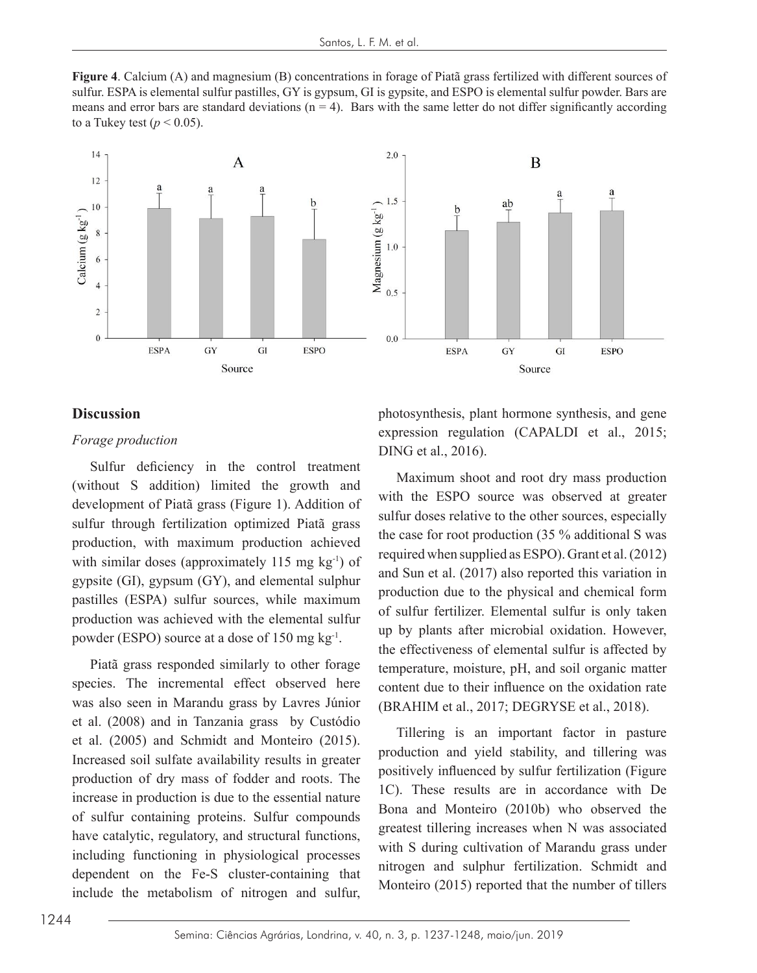Figure 4. Calcium (A) and magnesium (B) concentrations in forage of Piatã grass fertilized with different sources of sulfur. ESPA is elemental sulfur pastilles, GY is gypsum, GI is gypsite, and ESPO is elemental sulfur powder. Bars are means and error bars are standard deviations  $(n = 4)$ . Bars with the same letter do not differ significantly according to a Tukey test ( $p < 0.05$ ).



# **Discussion Discussion**

#### *Forage production Forage production*

sulfur through fertilization optimized Piatã grass sulfur doses relative to the c with similar doses (approximately 115 mg kg<sup>-1</sup>) of  $\frac{150}{20}$  and Sun et al. Sulfur deficiency in the control treatment (without S addition) limited the growth and development of Piatã grass (Figure 1). Addition of gypsite (GI), gypsum (GY), and elemental sulphur pastilles (ESPA) sulfur sources, while maximum

processes dependent on the Fe-S cluster-containing that include that is  $(2008)$  and in Tanzania grass by Custódio Increased soil sulfate availability results in greater Piatã grass responded similarly to other forage species. The incremental effect observed here was also seen in Marandu grass by Lavres Júnior production of dry mass of fodder and roots. The increase in production is due to the essential nature of sulfur containing proteins. Sulfur compounds including functioning in physiological processes dependent on the Fe-S cluster-containing that include the metabolism of nitrogen and sulfur,

photosynthesis, plant hormone synthesis, and gene expression regulation (CAPALDI et al., 2015; DING et al., 2016).

deficiency in the control treatment<br>Solution limited the growth and  $\frac{Maximum}{Maximum}$  shoot and root dry mass production  $\overline{\text{C}}$  development of Piatã grass (Figure 1). Addition of with the ESPO source was observed at greater sulfur doses relative to the other sources, especially production, with maximum production achieved  $\frac{d}{dx}$  inclusion from production (55%) distributed was achieved . and Sun et al. (2017) also reported this variation in  $\sum_{i=1}^{n}$   $\sum_{i=1}^{n}$   $\sum_{i=1}^{n}$   $\sum_{i=1}^{n}$   $\sum_{i=1}^{n}$  production due to the physical and chemical form production was achieved with the elemental sulfur<br>production was achieved with the elemental sulfur<br> powder (ESPO) source at a dose of 150 mg kg<sup>-1</sup>.  $\frac{dp}{dt}$  by plants after intervolational exidence production of dependence of dry mass at the official order is offerted by Piatã grass responded similarly to other forage temperature, moisture, pH, and soil organic matter species. The incremental effect observed here content due to their influence on the oxidation rate the case for root production (35 % additional S was required when supplied as ESPO). Grant et al. (2012) of sulfur fertilizer. Elemental sulfur is only taken up by plants after microbial oxidation. However, the effectiveness of elemental sulfur is affected by (BRAHIM et al., 2017; DEGRYSE et al., 2018).

et al. (2005) and Schmidt and Monteiro (2015). The state and important ractor in pasture m or dry mass or roduct and roots. The  $1C$ . These results are in accordance with De of sulfur containing proteins. Sulfur compounds Bona and Monteiro (2010b) who observed the have catalytic, regulatory, and structural functions, greatest thiering increases when in was associated Tillering is an important factor in pasture production and yield stability, and tillering was positively influenced by sulfur fertilization (Figure greatest tillering increases when N was associated with S during cultivation of Marandu grass under nitrogen and sulphur fertilization. Schmidt and Monteiro (2015) reported that the number of tillers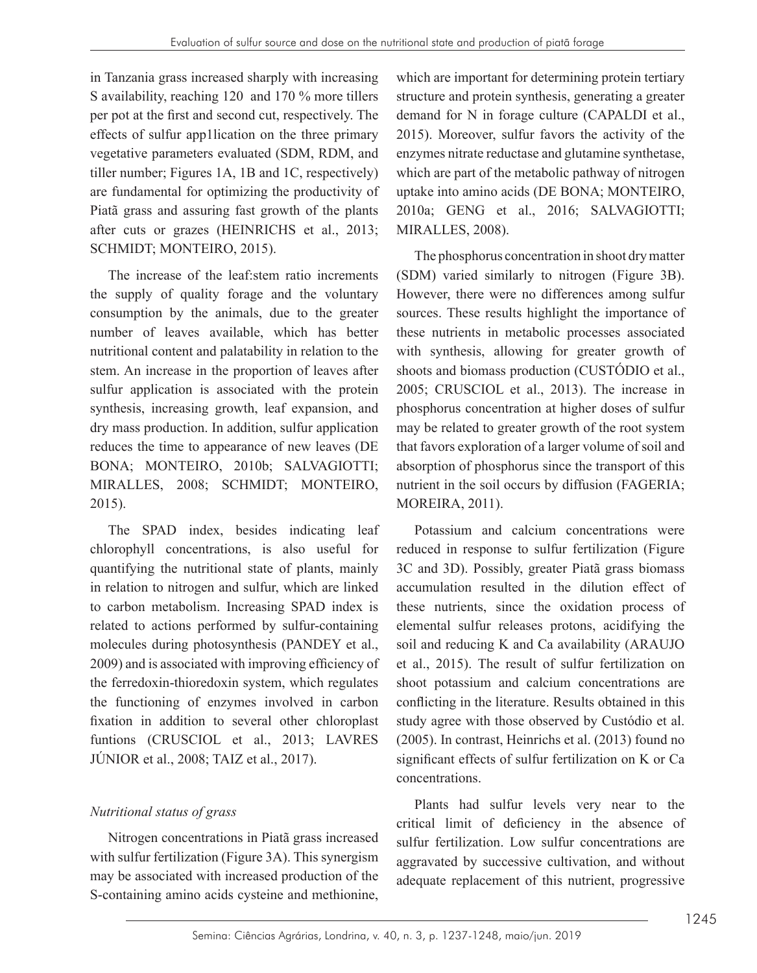in Tanzania grass increased sharply with increasing S availability, reaching 120 and 170 % more tillers per pot at the first and second cut, respectively. The effects of sulfur app1lication on the three primary vegetative parameters evaluated (SDM, RDM, and tiller number; Figures 1A, 1B and 1C, respectively) are fundamental for optimizing the productivity of Piatã grass and assuring fast growth of the plants after cuts or grazes (HEINRICHS et al., 2013; SCHMIDT; MONTEIRO, 2015).

The increase of the leaf:stem ratio increments the supply of quality forage and the voluntary consumption by the animals, due to the greater number of leaves available, which has better nutritional content and palatability in relation to the stem. An increase in the proportion of leaves after sulfur application is associated with the protein synthesis, increasing growth, leaf expansion, and dry mass production. In addition, sulfur application reduces the time to appearance of new leaves (DE BONA; MONTEIRO, 2010b; SALVAGIOTTI; MIRALLES, 2008; SCHMIDT; MONTEIRO, 2015).

The SPAD index, besides indicating leaf chlorophyll concentrations, is also useful for quantifying the nutritional state of plants, mainly in relation to nitrogen and sulfur, which are linked to carbon metabolism. Increasing SPAD index is related to actions performed by sulfur-containing molecules during photosynthesis (PANDEY et al., 2009) and is associated with improving efficiency of the ferredoxin-thioredoxin system, which regulates the functioning of enzymes involved in carbon fixation in addition to several other chloroplast funtions (CRUSCIOL et al., 2013; LAVRES JÚNIOR et al., 2008; TAIZ et al., 2017).

# *Nutritional status of grass*

Nitrogen concentrations in Piatã grass increased with sulfur fertilization (Figure 3A). This synergism may be associated with increased production of the S-containing amino acids cysteine and methionine,

which are important for determining protein tertiary structure and protein synthesis, generating a greater demand for N in forage culture (CAPALDI et al., 2015). Moreover, sulfur favors the activity of the enzymes nitrate reductase and glutamine synthetase, which are part of the metabolic pathway of nitrogen uptake into amino acids (DE BONA; MONTEIRO, 2010a; GENG et al., 2016; SALVAGIOTTI; MIRALLES, 2008).

The phosphorus concentration in shoot dry matter (SDM) varied similarly to nitrogen (Figure 3B). However, there were no differences among sulfur sources. These results highlight the importance of these nutrients in metabolic processes associated with synthesis, allowing for greater growth of shoots and biomass production (CUSTÓDIO et al., 2005; CRUSCIOL et al., 2013). The increase in phosphorus concentration at higher doses of sulfur may be related to greater growth of the root system that favors exploration of a larger volume of soil and absorption of phosphorus since the transport of this nutrient in the soil occurs by diffusion (FAGERIA; MOREIRA, 2011).

Potassium and calcium concentrations were reduced in response to sulfur fertilization (Figure 3C and 3D). Possibly, greater Piatã grass biomass accumulation resulted in the dilution effect of these nutrients, since the oxidation process of elemental sulfur releases protons, acidifying the soil and reducing K and Ca availability (ARAUJO et al., 2015). The result of sulfur fertilization on shoot potassium and calcium concentrations are conflicting in the literature. Results obtained in this study agree with those observed by Custódio et al. (2005). In contrast, Heinrichs et al. (2013) found no significant effects of sulfur fertilization on K or Ca concentrations.

Plants had sulfur levels very near to the critical limit of deficiency in the absence of sulfur fertilization. Low sulfur concentrations are aggravated by successive cultivation, and without adequate replacement of this nutrient, progressive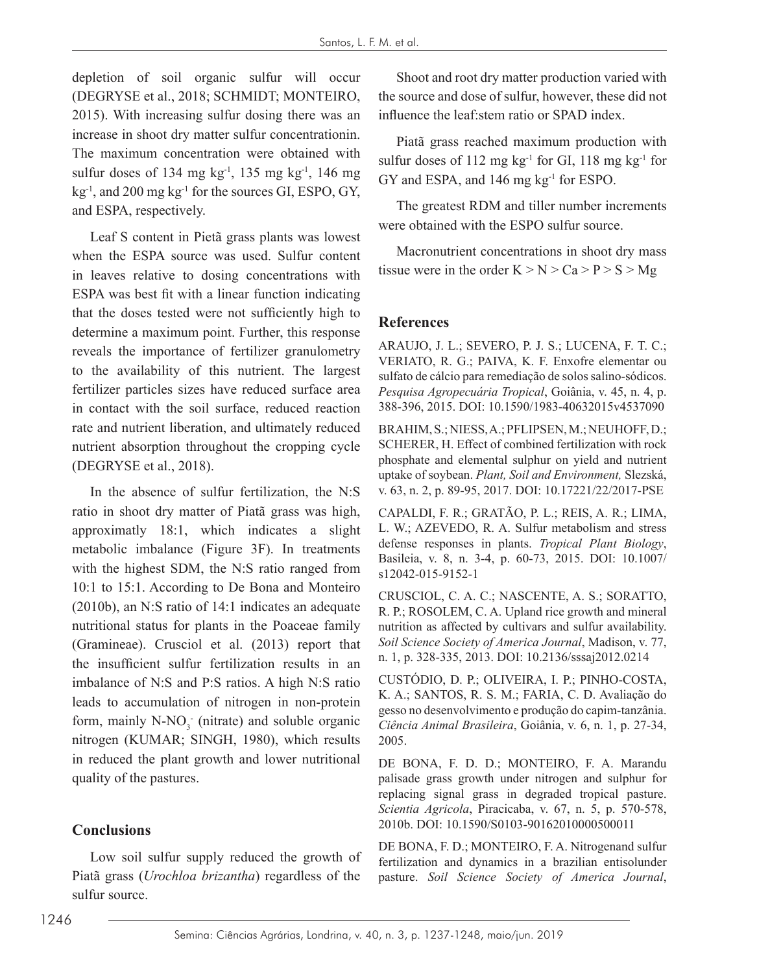depletion of soil organic sulfur will occur (DEGRYSE et al., 2018; SCHMIDT; MONTEIRO, 2015). With increasing sulfur dosing there was an increase in shoot dry matter sulfur concentrationin. The maximum concentration were obtained with sulfur doses of 134 mg kg $^{-1}$ , 135 mg kg $^{-1}$ , 146 mg  $kg<sup>-1</sup>$ , and 200 mg kg<sup>-1</sup> for the sources GI, ESPO, GY, and ESPA, respectively.

Leaf S content in Pietã grass plants was lowest when the ESPA source was used. Sulfur content in leaves relative to dosing concentrations with ESPA was best fit with a linear function indicating that the doses tested were not sufficiently high to determine a maximum point. Further, this response reveals the importance of fertilizer granulometry to the availability of this nutrient. The largest fertilizer particles sizes have reduced surface area in contact with the soil surface, reduced reaction rate and nutrient liberation, and ultimately reduced nutrient absorption throughout the cropping cycle (DEGRYSE et al., 2018).

In the absence of sulfur fertilization, the N:S ratio in shoot dry matter of Piatã grass was high, approximatly 18:1, which indicates a slight metabolic imbalance (Figure 3F). In treatments with the highest SDM, the N:S ratio ranged from 10:1 to 15:1. According to De Bona and Monteiro (2010b), an N:S ratio of 14:1 indicates an adequate nutritional status for plants in the Poaceae family (Gramineae). Crusciol et al. (2013) report that the insufficient sulfur fertilization results in an imbalance of N:S and P:S ratios. A high N:S ratio leads to accumulation of nitrogen in non-protein form, mainly  $N-NO_3$  (nitrate) and soluble organic nitrogen (KUMAR; SINGH, 1980), which results in reduced the plant growth and lower nutritional quality of the pastures.

## **Conclusions**

Low soil sulfur supply reduced the growth of Piatã grass (*Urochloa brizantha*) regardless of the sulfur source.

Shoot and root dry matter production varied with the source and dose of sulfur, however, these did not influence the leaf:stem ratio or SPAD index.

Piatã grass reached maximum production with sulfur doses of 112 mg  $kg^{-1}$  for GI, 118 mg  $kg^{-1}$  for GY and ESPA, and 146 mg kg-1 for ESPO.

The greatest RDM and tiller number increments were obtained with the ESPO sulfur source.

Macronutrient concentrations in shoot dry mass tissue were in the order  $K > N > Ca > P > S > Mg$ 

#### **References**

ARAUJO, J. L.; SEVERO, P. J. S.; LUCENA, F. T. C.; VERIATO, R. G.; PAIVA, K. F. Enxofre elementar ou sulfato de cálcio para remediação de solos salino-sódicos. *Pesquisa Agropecuária Tropical*, Goiânia, v. 45, n. 4, p. 388-396, 2015. DOI: 10.1590/1983-40632015v4537090

BRAHIM, S.; NIESS, A.; PFLIPSEN, M.; NEUHOFF, D.; SCHERER, H. Effect of combined fertilization with rock phosphate and elemental sulphur on yield and nutrient uptake of soybean. *Plant, Soil and Environment,* Slezská, v. 63, n. 2, p. 89-95, 2017. DOI: 10.17221/22/2017-PSE

CAPALDI, F. R.; GRATÃO, P. L.; REIS, A. R.; LIMA, L. W.; AZEVEDO, R. A. Sulfur metabolism and stress defense responses in plants. *Tropical Plant Biology*, Basileia, v. 8, n. 3-4, p. 60-73, 2015. DOI: 10.1007/ s12042-015-9152-1

CRUSCIOL, C. A. C.; NASCENTE, A. S.; SORATTO, R. P.; ROSOLEM, C. A. Upland rice growth and mineral nutrition as affected by cultivars and sulfur availability. *Soil Science Society of America Journal*, Madison, v. 77, n. 1, p. 328-335, 2013. DOI: 10.2136/sssaj2012.0214

CUSTÓDIO, D. P.; OLIVEIRA, I. P.; PINHO-COSTA, K. A.; SANTOS, R. S. M.; FARIA, C. D. Avaliação do gesso no desenvolvimento e produção do capim-tanzânia. *Ciência Animal Brasileira*, Goiânia, v. 6, n. 1, p. 27-34, 2005.

DE BONA, F. D. D.; MONTEIRO, F. A. Marandu palisade grass growth under nitrogen and sulphur for replacing signal grass in degraded tropical pasture. *Scientia Agricola*, Piracicaba, v. 67, n. 5, p. 570-578, 2010b. DOI: 10.1590/S0103-90162010000500011

DE BONA, F. D.; MONTEIRO, F. A. Nitrogenand sulfur fertilization and dynamics in a brazilian entisolunder pasture. *Soil Science Society of America Journal*,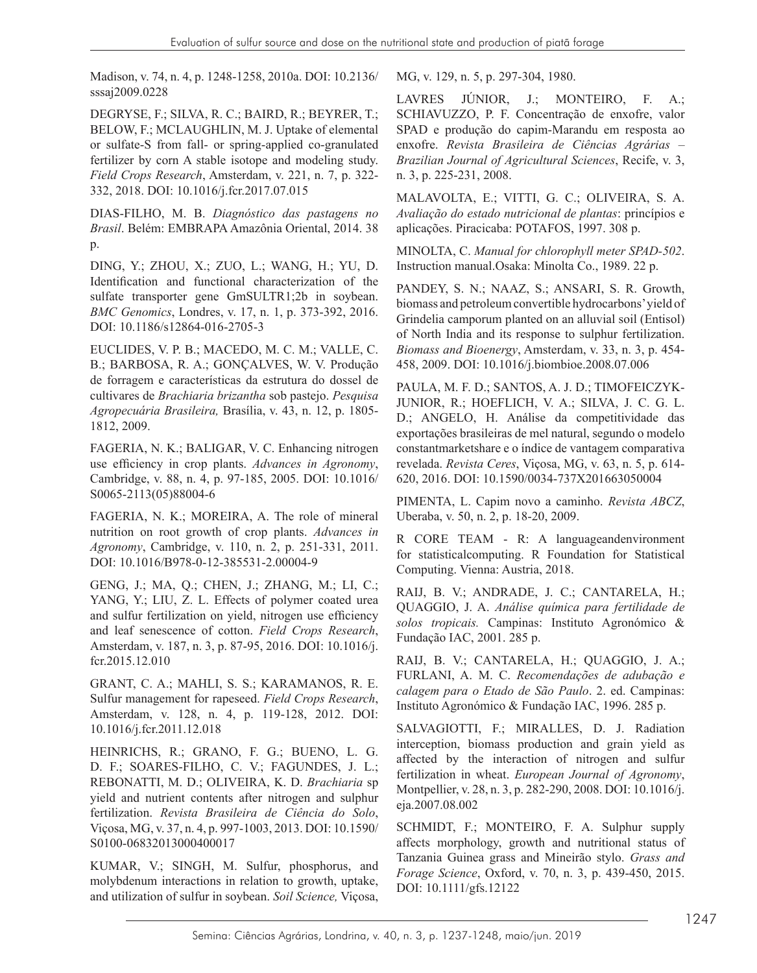Madison, v. 74, n. 4, p. 1248-1258, 2010a. DOI: 10.2136/ sssaj2009.0228

DEGRYSE, F.; SILVA, R. C.; BAIRD, R.; BEYRER, T.; BELOW, F.; MCLAUGHLIN, M. J. Uptake of elemental or sulfate-S from fall- or spring-applied co-granulated fertilizer by corn A stable isotope and modeling study. *Field Crops Research*, Amsterdam, v. 221, n. 7, p. 322- 332, 2018. DOI: 10.1016/j.fcr.2017.07.015

DIAS-FILHO, M. B. *Diagnóstico das pastagens no Brasil*. Belém: EMBRAPA Amazônia Oriental, 2014. 38 p.

DING, Y.; ZHOU, X.; ZUO, L.; WANG, H.; YU, D. Identification and functional characterization of the sulfate transporter gene GmSULTR1;2b in soybean. *BMC Genomics*, Londres, v. 17, n. 1, p. 373-392, 2016. DOI: 10.1186/s12864-016-2705-3

EUCLIDES, V. P. B.; MACEDO, M. C. M.; VALLE, C. B.; BARBOSA, R. A.; GONÇALVES, W. V. Produção de forragem e características da estrutura do dossel de cultivares de *Brachiaria brizantha* sob pastejo. *Pesquisa Agropecuária Brasileira,* Brasília, v. 43, n. 12, p. 1805- 1812, 2009.

FAGERIA, N. K.; BALIGAR, V. C. Enhancing nitrogen use efficiency in crop plants. *Advances in Agronomy*, Cambridge, v. 88, n. 4, p. 97-185, 2005. DOI: 10.1016/ S0065-2113(05)88004-6

FAGERIA, N. K.; MOREIRA, A. The role of mineral nutrition on root growth of crop plants. *Advances in Agronomy*, Cambridge, v. 110, n. 2, p. 251-331, 2011. DOI: 10.1016/B978-0-12-385531-2.00004-9

GENG, J.; MA, Q.; CHEN, J.; ZHANG, M.; LI, C.; YANG, Y.; LIU, Z. L. Effects of polymer coated urea and sulfur fertilization on yield, nitrogen use efficiency and leaf senescence of cotton. *Field Crops Research*, Amsterdam, v. 187, n. 3, p. 87-95, 2016. DOI: 10.1016/j. fcr.2015.12.010

GRANT, C. A.; MAHLI, S. S.; KARAMANOS, R. E. Sulfur management for rapeseed. *Field Crops Research*, Amsterdam, v. 128, n. 4, p. 119-128, 2012. DOI: 10.1016/j.fcr.2011.12.018

HEINRICHS, R.; GRANO, F. G.; BUENO, L. G. D. F.; SOARES-FILHO, C. V.; FAGUNDES, J. L.; REBONATTI, M. D.; OLIVEIRA, K. D. *Brachiaria* sp yield and nutrient contents after nitrogen and sulphur fertilization. *Revista Brasileira de Ciência do Solo*, Viçosa, MG, v. 37, n. 4, p. 997-1003, 2013. DOI: 10.1590/ S0100-06832013000400017

KUMAR, V.; SINGH, M. Sulfur, phosphorus, and molybdenum interactions in relation to growth, uptake, and utilization of sulfur in soybean. *Soil Science,* Viçosa, MG, v. 129, n. 5, p. 297-304, 1980.

LAVRES JÚNIOR, J.; MONTEIRO, F. A.; SCHIAVUZZO, P. F. Concentração de enxofre, valor SPAD e produção do capim-Marandu em resposta ao enxofre. *Revista Brasileira de Ciências Agrárias – Brazilian Journal of Agricultural Sciences*, Recife, v. 3, n. 3, p. 225-231, 2008.

MALAVOLTA, E.; VITTI, G. C.; OLIVEIRA, S. A. *Avaliação do estado nutricional de plantas*: princípios e aplicações. Piracicaba: POTAFOS, 1997. 308 p.

MINOLTA, C. *Manual for chlorophyll meter SPAD-502*. Instruction manual.Osaka: Minolta Co., 1989. 22 p.

PANDEY, S. N.; NAAZ, S.; ANSARI, S. R. Growth, biomass and petroleum convertible hydrocarbons' yield of Grindelia camporum planted on an alluvial soil (Entisol) of North India and its response to sulphur fertilization. *Biomass and Bioenergy*, Amsterdam, v. 33, n. 3, p. 454- 458, 2009. DOI: 10.1016/j.biombioe.2008.07.006

PAULA, M. F. D.; SANTOS, A. J. D.; TIMOFEICZYK-JUNIOR, R.; HOEFLICH, V. A.; SILVA, J. C. G. L. D.; ANGELO, H. Análise da competitividade das exportações brasileiras de mel natural, segundo o modelo constantmarketshare e o índice de vantagem comparativa revelada. *Revista Ceres*, Viçosa, MG, v. 63, n. 5, p. 614- 620, 2016. DOI: 10.1590/0034-737X201663050004

PIMENTA, L. Capim novo a caminho. *Revista ABCZ*, Uberaba, v. 50, n. 2, p. 18-20, 2009.

R CORE TEAM - R: A languageandenvironment for statisticalcomputing. R Foundation for Statistical Computing. Vienna: Austria, 2018.

RAIJ, B. V.; ANDRADE, J. C.; CANTARELA, H.; QUAGGIO, J. A. *Análise química para fertilidade de solos tropicais.* Campinas: Instituto Agronómico & Fundação IAC, 2001. 285 p.

RAIJ, B. V.; CANTARELA, H.; QUAGGIO, J. A.; FURLANI, A. M. C. *Recomendações de adubação e calagem para o Etado de São Paulo*. 2. ed. Campinas: Instituto Agronómico & Fundação IAC, 1996. 285 p.

SALVAGIOTTI, F.; MIRALLES, D. J. Radiation interception, biomass production and grain yield as affected by the interaction of nitrogen and sulfur fertilization in wheat. *European Journal of Agronomy*, Montpellier, v. 28, n. 3, p. 282-290, 2008. DOI: 10.1016/j. eja.2007.08.002

SCHMIDT, F.; MONTEIRO, F. A. Sulphur supply affects morphology, growth and nutritional status of Tanzania Guinea grass and Mineirão stylo. *Grass and Forage Science*, Oxford, v. 70, n. 3, p. 439-450, 2015. DOI: 10.1111/gfs.12122